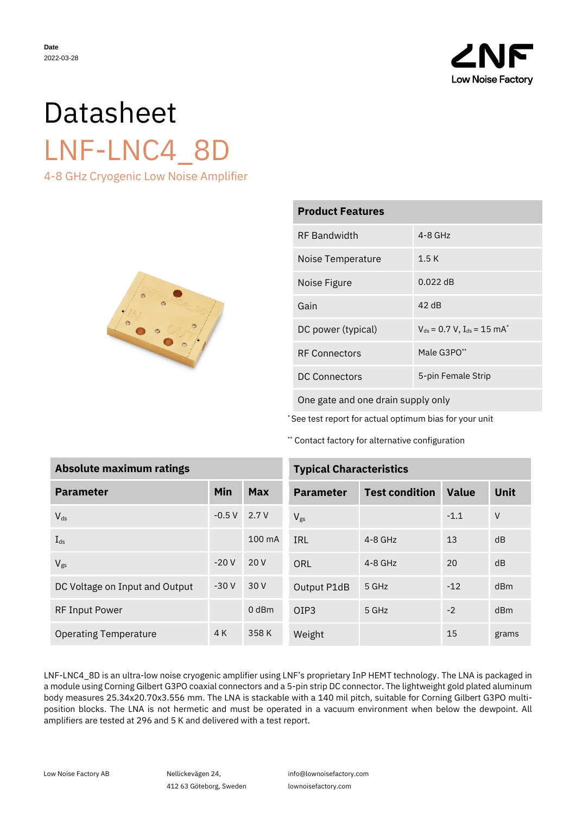

# Datasheet LNF-LNC4\_8D 4-8 GHz Cryogenic Low Noise Amplifier



| <b>Product Features</b>                                |  |  |  |  |
|--------------------------------------------------------|--|--|--|--|
| $4 - 8$ GHz                                            |  |  |  |  |
| 1.5K                                                   |  |  |  |  |
| $0.022$ dB                                             |  |  |  |  |
| $42$ dB                                                |  |  |  |  |
| $V_{ds}$ = 0.7 V, I <sub>ds</sub> = 15 mA <sup>*</sup> |  |  |  |  |
| Male G3PO <sup>**</sup>                                |  |  |  |  |
| 5-pin Female Strip                                     |  |  |  |  |
|                                                        |  |  |  |  |

One gate and one drain supply only

\* See test report for actual optimum bias for your unit

\*\* Contact factory for alternative configuration

| <b>Absolute maximum ratings</b> | <b>Typical Cha</b> |        |                  |
|---------------------------------|--------------------|--------|------------------|
| <b>Parameter</b>                | Min                | Max    | <b>Parameter</b> |
| $V_{ds}$                        | $-0.5V$            | 2.7 V  | $V_{gs}$         |
| $I_{ds}$                        |                    | 100 mA | <b>IRL</b>       |
| $V_{gs}$                        | $-20V$             | 20 V   | ORL              |
| DC Voltage on Input and Output  | $-30V$             | 30 V   | Output P1dE      |
| <b>RF Input Power</b>           |                    | 0 dBm  | OIP <sub>3</sub> |
| <b>Operating Temperature</b>    | 4 K                | 358K   | Weight           |

| <b>Typical Characteristics</b> |                       |              |       |  |
|--------------------------------|-----------------------|--------------|-------|--|
| <b>Parameter</b>               | <b>Test condition</b> | <b>Value</b> | Unit  |  |
| $V_{gs}$                       |                       | $-1.1$       | V     |  |
| IRL                            | $4 - 8$ GHz           | 13           | dB    |  |
| <b>ORL</b>                     | $4 - 8$ GHz           | 20           | dB    |  |
| Output P1dB                    | 5 GHz                 | $-12$        | dBm   |  |
| OIP3                           | 5 GHz                 | $-2$         | dBm   |  |
| Weight                         |                       | 15           | grams |  |

LNF-LNC4\_8D is an ultra-low noise cryogenic amplifier using LNF's proprietary InP HEMT technology. The LNA is packaged in a module using Corning Gilbert G3PO coaxial connectors and a 5-pin strip DC connector. The lightweight gold plated aluminum body measures 25.34x20.70x3.556 mm. The LNA is stackable with a 140 mil pitch, suitable for Corning Gilbert G3PO multiposition blocks. The LNA is not hermetic and must be operated in a vacuum environment when below the dewpoint. All amplifiers are tested at 296 and 5 K and delivered with a test report.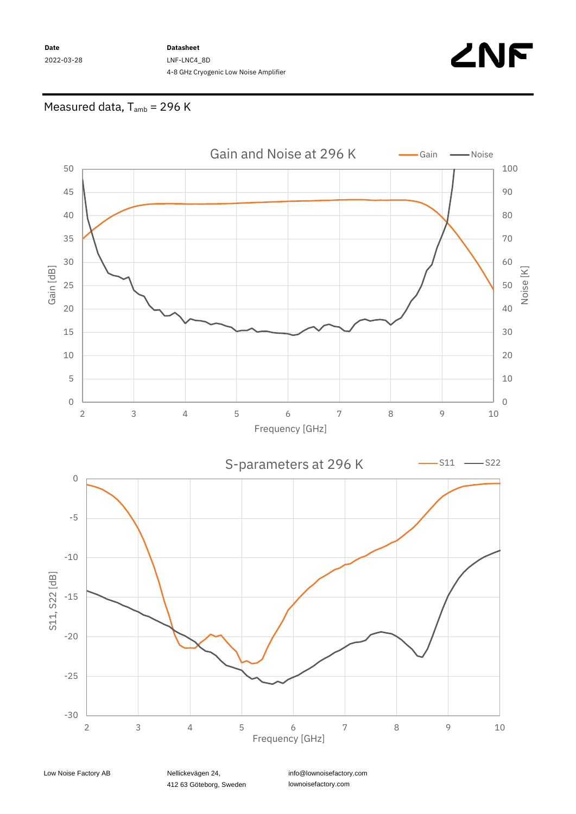**Date** 2022-03-28

### **Datasheet** LNF-LNC4\_8D 4-8 GHz Cryogenic Low Noise Amplifier



# Measured data,  $T_{amb}$  = 296 K



412 63 Göteborg, Sweden

info@lownoisefactory.com lownoisefactory.com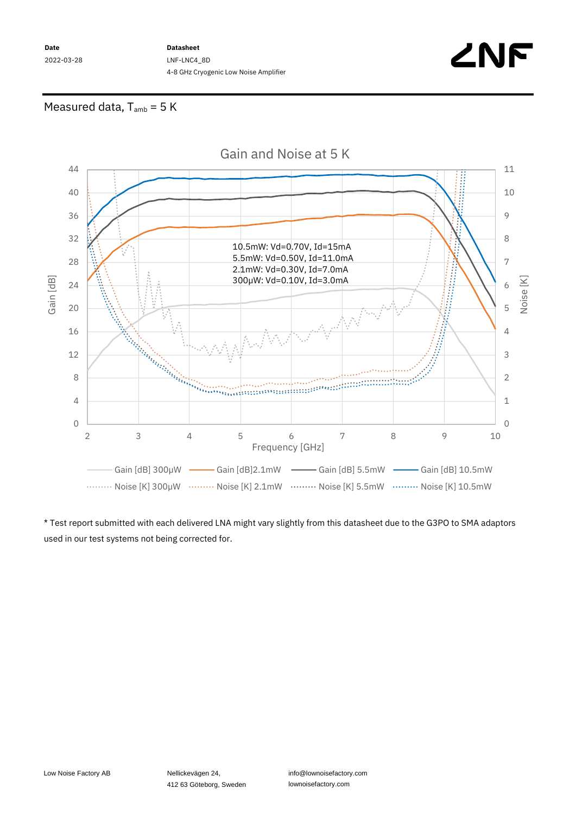**Date** 2022-03-28 **Datasheet** LNF-LNC4\_8D 4-8 GHz Cryogenic Low Noise Amplifier



## Measured data,  $T_{amb} = 5 K$



\* Test report submitted with each delivered LNA might vary slightly from this datasheet due to the G3PO to SMA adaptors used in our test systems not being corrected for.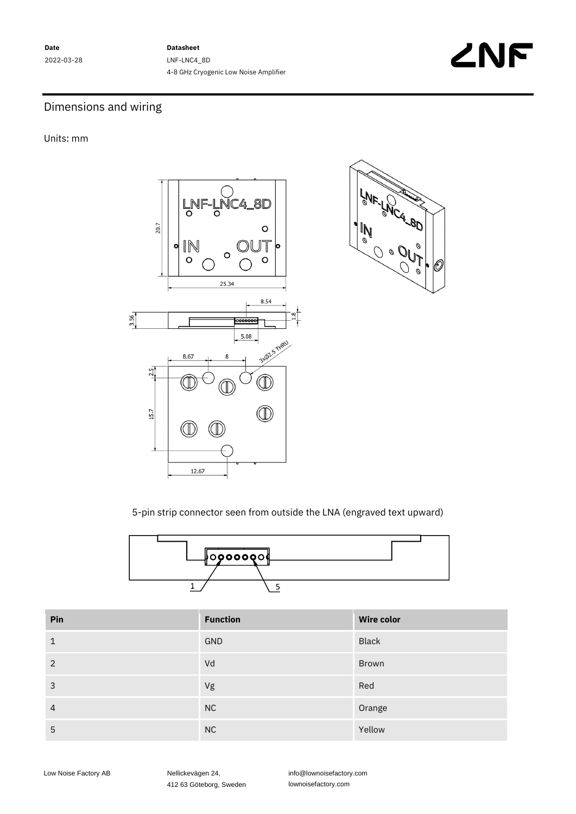**Date** 2022-03-28 **Datasheet** LNF-LNC4\_8D 4-8 GHz Cryogenic Low Noise Amplifier



## Dimensions and wiring

Units: mm





5-pin strip connector seen from outside the LNA (engraved text upward)



| Pin | <b>Function</b> | <b>Wire color</b> |
|-----|-----------------|-------------------|
| 1   | GND             | <b>Black</b>      |
| 2   | Vd              | Brown             |
| 3   | Vg              | Red               |
| 4   | <b>NC</b>       | Orange            |
| 5   | NC              | Yellow            |